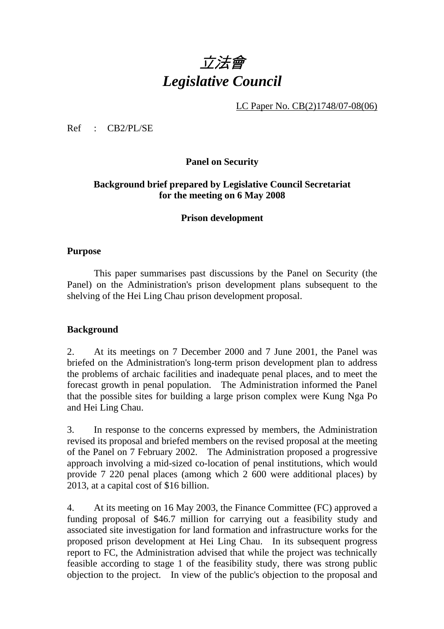# 立法會 *Legislative Council*

LC Paper No. CB(2)1748/07-08(06)

 $Ref$   $CR2/PI/SE$ 

**Panel on Security** 

## **Background brief prepared by Legislative Council Secretariat for the meeting on 6 May 2008**

#### **Prison development**

#### **Purpose**

This paper summarises past discussions by the Panel on Security (the Panel) on the Administration's prison development plans subsequent to the shelving of the Hei Ling Chau prison development proposal.

#### **Background**

2. At its meetings on 7 December 2000 and 7 June 2001, the Panel was briefed on the Administration's long-term prison development plan to address the problems of archaic facilities and inadequate penal places, and to meet the forecast growth in penal population. The Administration informed the Panel that the possible sites for building a large prison complex were Kung Nga Po and Hei Ling Chau.

3. In response to the concerns expressed by members, the Administration revised its proposal and briefed members on the revised proposal at the meeting of the Panel on 7 February 2002. The Administration proposed a progressive approach involving a mid-sized co-location of penal institutions, which would provide 7 220 penal places (among which 2 600 were additional places) by 2013, at a capital cost of \$16 billion.

4. At its meeting on 16 May 2003, the Finance Committee (FC) approved a funding proposal of \$46.7 million for carrying out a feasibility study and associated site investigation for land formation and infrastructure works for the proposed prison development at Hei Ling Chau. In its subsequent progress report to FC, the Administration advised that while the project was technically feasible according to stage 1 of the feasibility study, there was strong public objection to the project. In view of the public's objection to the proposal and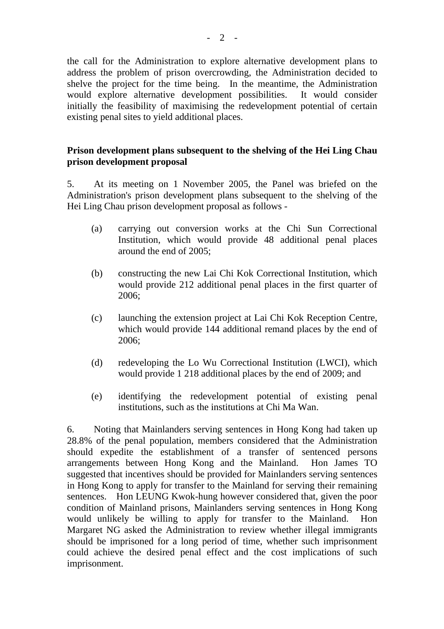the call for the Administration to explore alternative development plans to address the problem of prison overcrowding, the Administration decided to shelve the project for the time being. In the meantime, the Administration would explore alternative development possibilities. It would consider initially the feasibility of maximising the redevelopment potential of certain existing penal sites to yield additional places.

## **Prison development plans subsequent to the shelving of the Hei Ling Chau prison development proposal**

5. At its meeting on 1 November 2005, the Panel was briefed on the Administration's prison development plans subsequent to the shelving of the Hei Ling Chau prison development proposal as follows -

- (a) carrying out conversion works at the Chi Sun Correctional Institution, which would provide 48 additional penal places around the end of 2005;
- (b) constructing the new Lai Chi Kok Correctional Institution, which would provide 212 additional penal places in the first quarter of 2006;
- (c) launching the extension project at Lai Chi Kok Reception Centre, which would provide 144 additional remand places by the end of 2006;
- (d) redeveloping the Lo Wu Correctional Institution (LWCI), which would provide 1 218 additional places by the end of 2009; and
- (e) identifying the redevelopment potential of existing penal institutions, such as the institutions at Chi Ma Wan.

6. Noting that Mainlanders serving sentences in Hong Kong had taken up 28.8% of the penal population, members considered that the Administration should expedite the establishment of a transfer of sentenced persons arrangements between Hong Kong and the Mainland. Hon James TO suggested that incentives should be provided for Mainlanders serving sentences in Hong Kong to apply for transfer to the Mainland for serving their remaining sentences. Hon LEUNG Kwok-hung however considered that, given the poor condition of Mainland prisons, Mainlanders serving sentences in Hong Kong would unlikely be willing to apply for transfer to the Mainland. Hon Margaret NG asked the Administration to review whether illegal immigrants should be imprisoned for a long period of time, whether such imprisonment could achieve the desired penal effect and the cost implications of such imprisonment.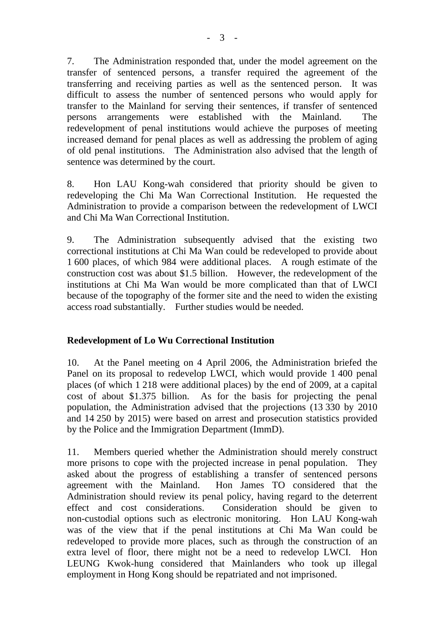7. The Administration responded that, under the model agreement on the transfer of sentenced persons, a transfer required the agreement of the transferring and receiving parties as well as the sentenced person. It was difficult to assess the number of sentenced persons who would apply for transfer to the Mainland for serving their sentences, if transfer of sentenced persons arrangements were established with the Mainland. The redevelopment of penal institutions would achieve the purposes of meeting increased demand for penal places as well as addressing the problem of aging of old penal institutions. The Administration also advised that the length of sentence was determined by the court.

8. Hon LAU Kong-wah considered that priority should be given to redeveloping the Chi Ma Wan Correctional Institution. He requested the Administration to provide a comparison between the redevelopment of LWCI and Chi Ma Wan Correctional Institution.

9. The Administration subsequently advised that the existing two correctional institutions at Chi Ma Wan could be redeveloped to provide about 1 600 places, of which 984 were additional places. A rough estimate of the construction cost was about \$1.5 billion. However, the redevelopment of the institutions at Chi Ma Wan would be more complicated than that of LWCI because of the topography of the former site and the need to widen the existing access road substantially. Further studies would be needed.

## **Redevelopment of Lo Wu Correctional Institution**

10. At the Panel meeting on 4 April 2006, the Administration briefed the Panel on its proposal to redevelop LWCI, which would provide 1 400 penal places (of which 1 218 were additional places) by the end of 2009, at a capital cost of about \$1.375 billion. As for the basis for projecting the penal population, the Administration advised that the projections (13 330 by 2010 and 14 250 by 2015) were based on arrest and prosecution statistics provided by the Police and the Immigration Department (ImmD).

11. Members queried whether the Administration should merely construct more prisons to cope with the projected increase in penal population. They asked about the progress of establishing a transfer of sentenced persons agreement with the Mainland. Hon James TO considered that the Administration should review its penal policy, having regard to the deterrent effect and cost considerations. Consideration should be given to non-custodial options such as electronic monitoring. Hon LAU Kong-wah was of the view that if the penal institutions at Chi Ma Wan could be redeveloped to provide more places, such as through the construction of an extra level of floor, there might not be a need to redevelop LWCI. Hon LEUNG Kwok-hung considered that Mainlanders who took up illegal employment in Hong Kong should be repatriated and not imprisoned.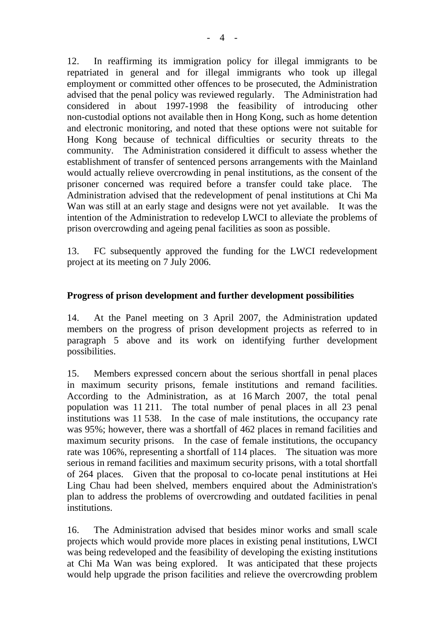12. In reaffirming its immigration policy for illegal immigrants to be repatriated in general and for illegal immigrants who took up illegal employment or committed other offences to be prosecuted, the Administration advised that the penal policy was reviewed regularly. The Administration had considered in about 1997-1998 the feasibility of introducing other non-custodial options not available then in Hong Kong, such as home detention and electronic monitoring, and noted that these options were not suitable for Hong Kong because of technical difficulties or security threats to the community. The Administration considered it difficult to assess whether the establishment of transfer of sentenced persons arrangements with the Mainland would actually relieve overcrowding in penal institutions, as the consent of the prisoner concerned was required before a transfer could take place. The Administration advised that the redevelopment of penal institutions at Chi Ma Wan was still at an early stage and designs were not yet available. It was the intention of the Administration to redevelop LWCI to alleviate the problems of prison overcrowding and ageing penal facilities as soon as possible.

13. FC subsequently approved the funding for the LWCI redevelopment project at its meeting on 7 July 2006.

## **Progress of prison development and further development possibilities**

14. At the Panel meeting on 3 April 2007, the Administration updated members on the progress of prison development projects as referred to in paragraph 5 above and its work on identifying further development possibilities.

15. Members expressed concern about the serious shortfall in penal places in maximum security prisons, female institutions and remand facilities. According to the Administration, as at 16 March 2007, the total penal population was 11 211. The total number of penal places in all 23 penal institutions was 11 538. In the case of male institutions, the occupancy rate was 95%; however, there was a shortfall of 462 places in remand facilities and maximum security prisons. In the case of female institutions, the occupancy rate was 106%, representing a shortfall of 114 places. The situation was more serious in remand facilities and maximum security prisons, with a total shortfall of 264 places. Given that the proposal to co-locate penal institutions at Hei Ling Chau had been shelved, members enquired about the Administration's plan to address the problems of overcrowding and outdated facilities in penal institutions.

16. The Administration advised that besides minor works and small scale projects which would provide more places in existing penal institutions, LWCI was being redeveloped and the feasibility of developing the existing institutions at Chi Ma Wan was being explored. It was anticipated that these projects would help upgrade the prison facilities and relieve the overcrowding problem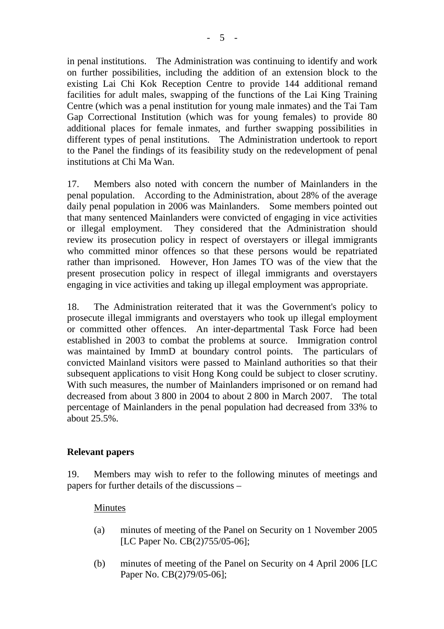in penal institutions. The Administration was continuing to identify and work on further possibilities, including the addition of an extension block to the existing Lai Chi Kok Reception Centre to provide 144 additional remand facilities for adult males, swapping of the functions of the Lai King Training Centre (which was a penal institution for young male inmates) and the Tai Tam Gap Correctional Institution (which was for young females) to provide 80 additional places for female inmates, and further swapping possibilities in different types of penal institutions. The Administration undertook to report to the Panel the findings of its feasibility study on the redevelopment of penal institutions at Chi Ma Wan.

17. Members also noted with concern the number of Mainlanders in the penal population. According to the Administration, about 28% of the average daily penal population in 2006 was Mainlanders. Some members pointed out that many sentenced Mainlanders were convicted of engaging in vice activities or illegal employment. They considered that the Administration should review its prosecution policy in respect of overstayers or illegal immigrants who committed minor offences so that these persons would be repatriated rather than imprisoned. However, Hon James TO was of the view that the present prosecution policy in respect of illegal immigrants and overstayers engaging in vice activities and taking up illegal employment was appropriate.

18. The Administration reiterated that it was the Government's policy to prosecute illegal immigrants and overstayers who took up illegal employment or committed other offences. An inter-departmental Task Force had been established in 2003 to combat the problems at source. Immigration control was maintained by ImmD at boundary control points. The particulars of convicted Mainland visitors were passed to Mainland authorities so that their subsequent applications to visit Hong Kong could be subject to closer scrutiny. With such measures, the number of Mainlanders imprisoned or on remand had decreased from about 3 800 in 2004 to about 2 800 in March 2007. The total percentage of Mainlanders in the penal population had decreased from 33% to about 25.5%.

## **Relevant papers**

19. Members may wish to refer to the following minutes of meetings and papers for further details of the discussions –

#### Minutes

- (a) minutes of meeting of the Panel on Security on 1 November 2005 [LC Paper No. CB(2)755/05-06];
- (b) minutes of meeting of the Panel on Security on 4 April 2006 [LC Paper No. CB(2)79/05-06];